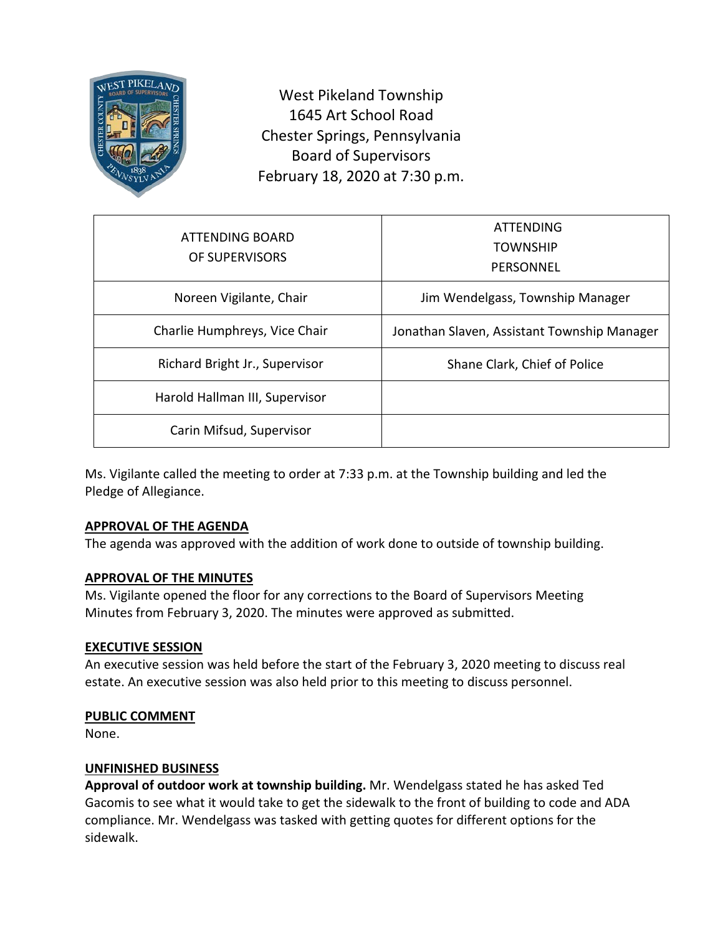

West Pikeland Township 1645 Art School Road Chester Springs, Pennsylvania Board of Supervisors February 18, 2020 at 7:30 p.m.

| ATTENDING BOARD<br>OF SUPERVISORS | ATTENDING<br><b>TOWNSHIP</b><br>PERSONNEL   |
|-----------------------------------|---------------------------------------------|
| Noreen Vigilante, Chair           | Jim Wendelgass, Township Manager            |
| Charlie Humphreys, Vice Chair     | Jonathan Slaven, Assistant Township Manager |
| Richard Bright Jr., Supervisor    | Shane Clark, Chief of Police                |
| Harold Hallman III, Supervisor    |                                             |
| Carin Mifsud, Supervisor          |                                             |

Ms. Vigilante called the meeting to order at 7:33 p.m. at the Township building and led the Pledge of Allegiance.

# **APPROVAL OF THE AGENDA**

The agenda was approved with the addition of work done to outside of township building.

# **APPROVAL OF THE MINUTES**

Ms. Vigilante opened the floor for any corrections to the Board of Supervisors Meeting Minutes from February 3, 2020. The minutes were approved as submitted.

### **EXECUTIVE SESSION**

An executive session was held before the start of the February 3, 2020 meeting to discuss real estate. An executive session was also held prior to this meeting to discuss personnel.

### **PUBLIC COMMENT**

None.

# **UNFINISHED BUSINESS**

**Approval of outdoor work at township building.** Mr. Wendelgass stated he has asked Ted Gacomis to see what it would take to get the sidewalk to the front of building to code and ADA compliance. Mr. Wendelgass was tasked with getting quotes for different options for the sidewalk.